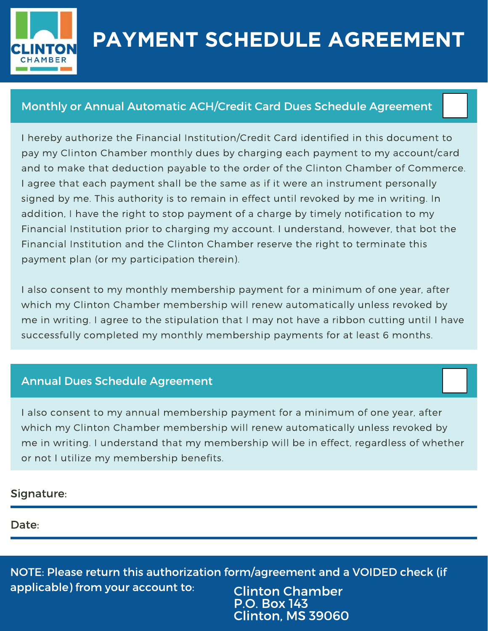

## **PAYMENT SCHEDULE AGREEMENT**

## Monthly or Annual Automatic ACH/Credit Card Dues Schedule Agreement

I hereby authorize the Financial Institution/Credit Card identified in this document to pay my Clinton Chamber monthly dues by charging each payment to my account/card and to make that deduction payable to the order of the Clinton Chamber of Commerce. I agree that each payment shall be the same as if it were an instrument personally signed by me. This authority is to remain in effect until revoked by me in writing. In addition, I have the right to stop payment of a charge by timely notification to my Financial Institution prior to charging my account. I understand, however, that bot the Financial Institution and the Clinton Chamber reserve the right to terminate this payment plan (or my participation therein).

I also consent to my monthly membership payment for a minimum of one year, after which my Clinton Chamber membership will renew automatically unless revoked by me in writing. I agree to the stipulation that I may not have a ribbon cutting until I have successfully completed my monthly membership payments for at least 6 months.

## Annual Dues Schedule Agreement

I also consent to my annual membership payment for a minimum of one year, after which my Clinton Chamber membership will renew automatically unless revoked by me in writing. I understand that my membership will be in effect, regardless of whether or not I utilize my membership benefits.

## Signature:

Date:

NOTE: Please return this authorization form/agreement and a VOIDED check (if applicable) from your account to: Clinton Chamber

P.O. Box 143 Clinton, MS 39060